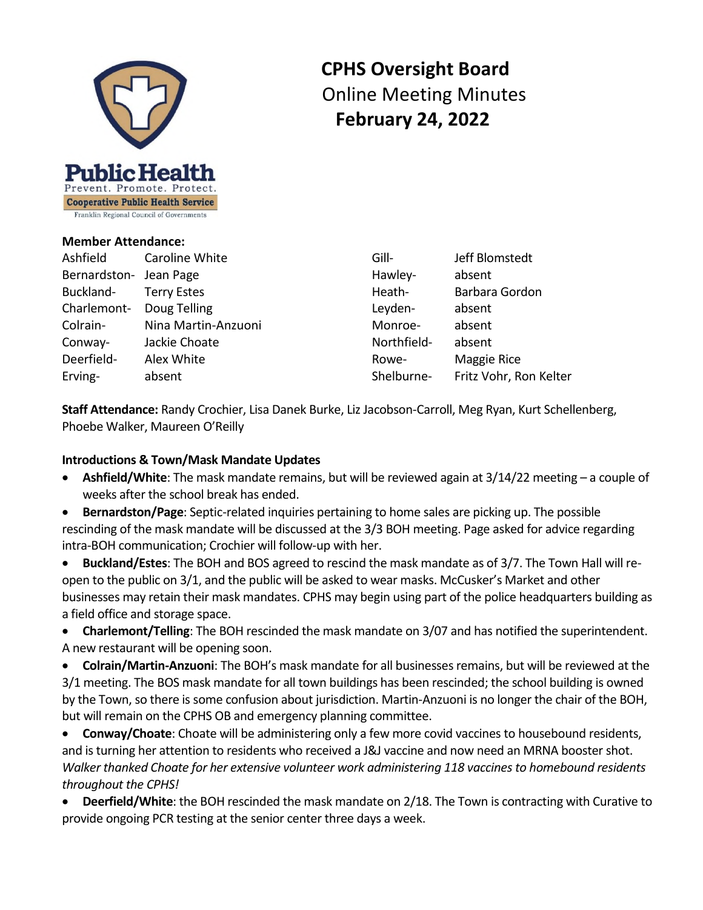

# **CPHS Oversight Board** Online Meeting Minutes  **February 24, 2022**

#### **Member Attendance:**

Ashfield Caroline White Bernardston- Jean Page Buckland- Terry Estes Charlemont- Doug Telling Colrain- Nina Martin-Anzuoni Conway- Jackie Choate Deerfield- Alex White Erving- absent

Gill- Jeff Blomstedt Hawley- absent Heath- Barbara Gordon Leyden- absent Monroe- absent Northfield- absent Rowe- Maggie Rice Shelburne- Fritz Vohr, Ron Kelter

**Staff Attendance:** Randy Crochier, Lisa Danek Burke, Liz Jacobson-Carroll, Meg Ryan, Kurt Schellenberg, Phoebe Walker, Maureen O'Reilly

### **Introductions & Town/Mask Mandate Updates**

- **Ashfield/White**: The mask mandate remains, but will be reviewed again at 3/14/22 meeting a couple of weeks after the school break has ended.
- **Bernardston/Page**: Septic-related inquiries pertaining to home sales are picking up. The possible rescinding of the mask mandate will be discussed at the 3/3 BOH meeting. Page asked for advice regarding intra-BOH communication; Crochier will follow-up with her.

 **Buckland/Estes**: The BOH and BOS agreed to rescind the mask mandate as of 3/7. The Town Hall will reopen to the public on 3/1, and the public will be asked to wear masks. McCusker's Market and other businesses may retain their mask mandates. CPHS may begin using part of the police headquarters building as a field office and storage space.

 **Charlemont/Telling**: The BOH rescinded the mask mandate on 3/07 and has notified the superintendent. A new restaurant will be opening soon.

 **Colrain/Martin-Anzuoni**: The BOH's mask mandate for all businesses remains, but will be reviewed at the 3/1 meeting. The BOS mask mandate for all town buildings has been rescinded; the school building is owned by the Town, so there is some confusion about jurisdiction. Martin-Anzuoni is no longer the chair of the BOH, but will remain on the CPHS OB and emergency planning committee.

 **Conway/Choate**: Choate will be administering only a few more covid vaccines to housebound residents, and is turning her attention to residents who received a J&J vaccine and now need an MRNA booster shot. *Walker thanked Choate for her extensive volunteer work administering 118 vaccines to homebound residents throughout the CPHS!* 

 **Deerfield/White**: the BOH rescinded the mask mandate on 2/18. The Town is contracting with Curative to provide ongoing PCR testing at the senior center three days a week.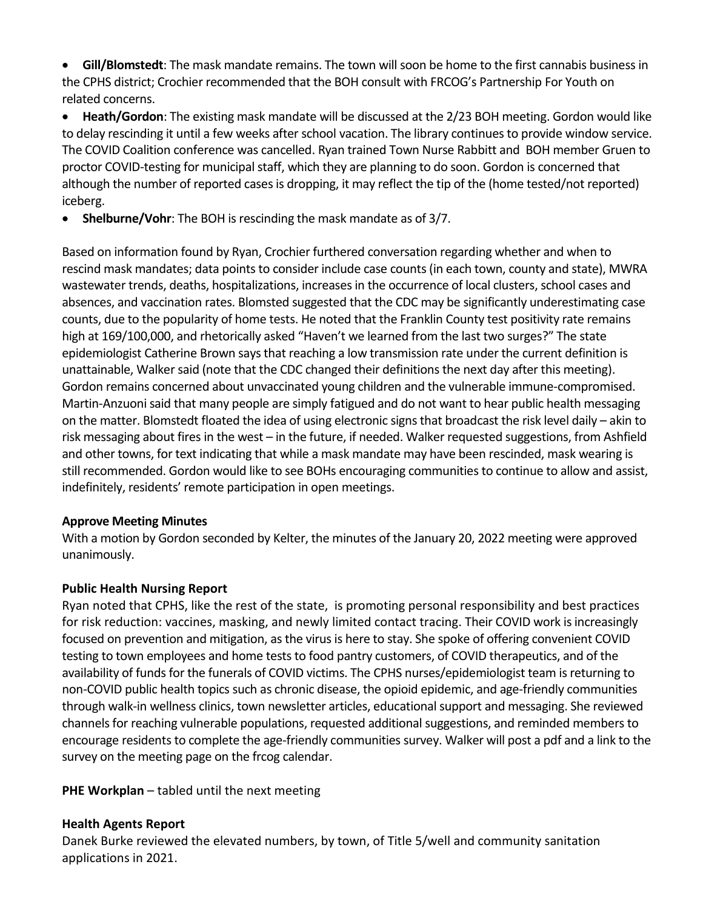**Gill/Blomstedt**: The mask mandate remains. The town will soon be home to the first cannabis business in the CPHS district; Crochier recommended that the BOH consult with FRCOG's Partnership For Youth on related concerns.

 **Heath/Gordon**: The existing mask mandate will be discussed at the 2/23 BOH meeting. Gordon would like to delay rescinding it until a few weeks after school vacation. The library continues to provide window service. The COVID Coalition conference was cancelled. Ryan trained Town Nurse Rabbitt and BOH member Gruen to proctor COVID-testing for municipal staff, which they are planning to do soon. Gordon is concerned that although the number of reported cases is dropping, it may reflect the tip of the (home tested/not reported) iceberg.

**Shelburne/Vohr**: The BOH is rescinding the mask mandate as of 3/7.

Based on information found by Ryan, Crochier furthered conversation regarding whether and when to rescind mask mandates; data points to consider include case counts (in each town, county and state), MWRA wastewater trends, deaths, hospitalizations, increases in the occurrence of local clusters, school cases and absences, and vaccination rates. Blomsted suggested that the CDC may be significantly underestimating case counts, due to the popularity of home tests. He noted that the Franklin County test positivity rate remains high at 169/100,000, and rhetorically asked "Haven't we learned from the last two surges?" The state epidemiologist Catherine Brown says that reaching a low transmission rate under the current definition is unattainable, Walker said (note that the CDC changed their definitions the next day after this meeting). Gordon remains concerned about unvaccinated young children and the vulnerable immune-compromised. Martin-Anzuoni said that many people are simply fatigued and do not want to hear public health messaging on the matter. Blomstedt floated the idea of using electronic signs that broadcast the risk level daily – akin to risk messaging about fires in the west – in the future, if needed. Walker requested suggestions, from Ashfield and other towns, for text indicating that while a mask mandate may have been rescinded, mask wearing is still recommended. Gordon would like to see BOHs encouraging communities to continue to allow and assist, indefinitely, residents' remote participation in open meetings.

## **Approve Meeting Minutes**

With a motion by Gordon seconded by Kelter, the minutes of the January 20, 2022 meeting were approved unanimously.

## **Public Health Nursing Report**

Ryan noted that CPHS, like the rest of the state, is promoting personal responsibility and best practices for risk reduction: vaccines, masking, and newly limited contact tracing. Their COVID work is increasingly focused on prevention and mitigation, as the virus is here to stay. She spoke of offering convenient COVID testing to town employees and home tests to food pantry customers, of COVID therapeutics, and of the availability of funds for the funerals of COVID victims. The CPHS nurses/epidemiologist team is returning to non-COVID public health topics such as chronic disease, the opioid epidemic, and age-friendly communities through walk-in wellness clinics, town newsletter articles, educational support and messaging. She reviewed channels for reaching vulnerable populations, requested additional suggestions, and reminded members to encourage residents to complete the age-friendly communities survey. Walker will post a pdf and a link to the survey on the meeting page on the frcog calendar.

**PHE Workplan** – tabled until the next meeting

## **Health Agents Report**

Danek Burke reviewed the elevated numbers, by town, of Title 5/well and community sanitation applications in 2021.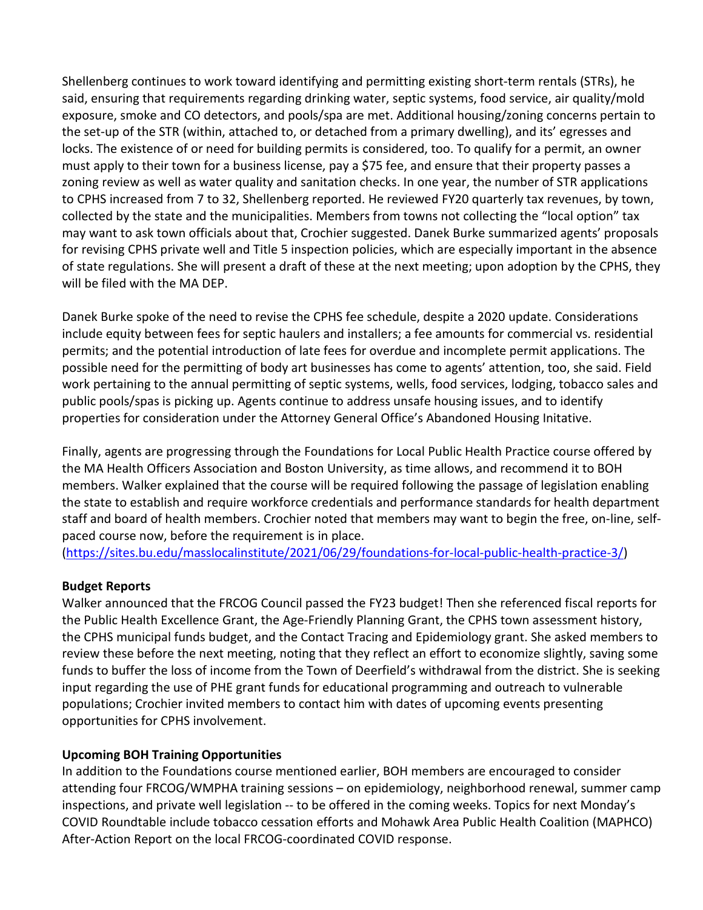Shellenberg continues to work toward identifying and permitting existing short-term rentals (STRs), he said, ensuring that requirements regarding drinking water, septic systems, food service, air quality/mold exposure, smoke and CO detectors, and pools/spa are met. Additional housing/zoning concerns pertain to the set-up of the STR (within, attached to, or detached from a primary dwelling), and its' egresses and locks. The existence of or need for building permits is considered, too. To qualify for a permit, an owner must apply to their town for a business license, pay a \$75 fee, and ensure that their property passes a zoning review as well as water quality and sanitation checks. In one year, the number of STR applications to CPHS increased from 7 to 32, Shellenberg reported. He reviewed FY20 quarterly tax revenues, by town, collected by the state and the municipalities. Members from towns not collecting the "local option" tax may want to ask town officials about that, Crochier suggested. Danek Burke summarized agents' proposals for revising CPHS private well and Title 5 inspection policies, which are especially important in the absence of state regulations. She will present a draft of these at the next meeting; upon adoption by the CPHS, they will be filed with the MA DEP.

Danek Burke spoke of the need to revise the CPHS fee schedule, despite a 2020 update. Considerations include equity between fees for septic haulers and installers; a fee amounts for commercial vs. residential permits; and the potential introduction of late fees for overdue and incomplete permit applications. The possible need for the permitting of body art businesses has come to agents' attention, too, she said. Field work pertaining to the annual permitting of septic systems, wells, food services, lodging, tobacco sales and public pools/spas is picking up. Agents continue to address unsafe housing issues, and to identify properties for consideration under the Attorney General Office's Abandoned Housing Initative.

Finally, agents are progressing through the Foundations for Local Public Health Practice course offered by the MA Health Officers Association and Boston University, as time allows, and recommend it to BOH members. Walker explained that the course will be required following the passage of legislation enabling the state to establish and require workforce credentials and performance standards for health department staff and board of health members. Crochier noted that members may want to begin the free, on-line, selfpaced course now, before the requirement is in place.

(<https://sites.bu.edu/masslocalinstitute/2021/06/29/foundations-for-local-public-health-practice-3/>)

## **Budget Reports**

Walker announced that the FRCOG Council passed the FY23 budget! Then she referenced fiscal reports for the Public Health Excellence Grant, the Age-Friendly Planning Grant, the CPHS town assessment history, the CPHS municipal funds budget, and the Contact Tracing and Epidemiology grant. She asked members to review these before the next meeting, noting that they reflect an effort to economize slightly, saving some funds to buffer the loss of income from the Town of Deerfield's withdrawal from the district. She is seeking input regarding the use of PHE grant funds for educational programming and outreach to vulnerable populations; Crochier invited members to contact him with dates of upcoming events presenting opportunities for CPHS involvement.

## **Upcoming BOH Training Opportunities**

In addition to the Foundations course mentioned earlier, BOH members are encouraged to consider attending four FRCOG/WMPHA training sessions – on epidemiology, neighborhood renewal, summer camp inspections, and private well legislation -- to be offered in the coming weeks. Topics for next Monday's COVID Roundtable include tobacco cessation efforts and Mohawk Area Public Health Coalition (MAPHCO) After-Action Report on the local FRCOG-coordinated COVID response.